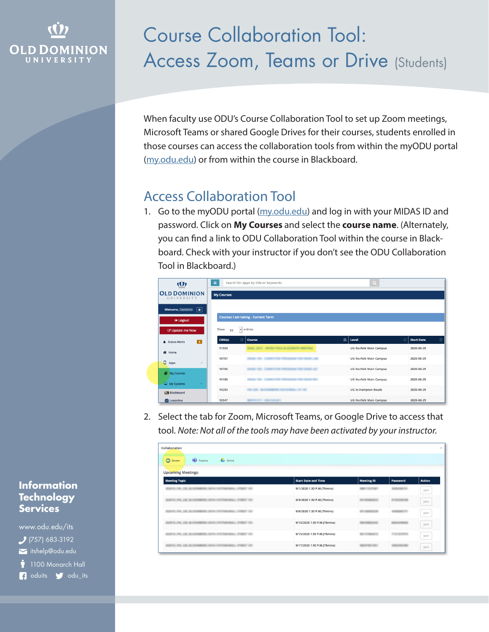# OLD DOM

# Course Collaboration Tool: Access Zoom, Teams or Drive (Students)

When faculty use ODU's Course Collaboration Tool to set up Zoom meetings, Microsoft Teams or shared Google Drives for their courses, students enrolled in those courses can access the collaboration tools from within the myODU portal [\(my.odu.edu\)](https://my.odu.edu) or from within the course in Blackboard.

# Access Collaboration Tool

1. Go to the myODU portal [\(my.odu.edu\)](https://my.odu.edu) and log in with your MIDAS ID and password. Click on **My Courses** and select the **course name**. (Alternately, you can find a link to ODU Collaboration Tool within the course in Blackboard. Check with your instructor if you don't see the ODU Collaboration Tool in Blackboard.)

| (1)                                  | Search for apps by title or keywords<br>$\equiv$<br>$\alpha$ |                                                    |                                          |                                |  |
|--------------------------------------|--------------------------------------------------------------|----------------------------------------------------|------------------------------------------|--------------------------------|--|
| <b>OLD DOMINION</b><br>UNIVERSITY    | <b>My Courses</b>                                            |                                                    |                                          |                                |  |
| $\boxed{\bullet}$<br>Welcome,        |                                                              |                                                    |                                          |                                |  |
| → Logout                             |                                                              | <b>Courses I am taking - Current Term</b>          |                                          |                                |  |
| C Update me Now                      | Show<br>$\overline{\phantom{a}}$ entries<br>10               |                                                    |                                          |                                |  |
| $\sqrt{3}$<br><b>A</b> Status Alerts | $\overline{11}$<br>CRN(s)                                    | Course                                             | $\left \frac{1}{2m}\right $ Level<br>It. | <b>It</b><br><b>Start Date</b> |  |
| 各 Home                               | 11559                                                        | AUTORA FROM & ACADEMY AND CRACK<br>-               | <b>UG Norfolk Main Campus</b>            | 2020-08-29                     |  |
| 0.<br>Apps<br>$\epsilon$             | 18707                                                        | <b>Book 1000 Shock LAB</b>                         | <b>UG Norfolk Main Campus</b>            | 2020-08-29                     |  |
| <b>Ny Courses</b>                    | 18706                                                        | <b>NORTHERN FOR STAGE LINE</b>                     | <b>UG Norfolk Main Campus</b>            | 2020-08-29                     |  |
| My Systems<br>$\checkmark$           | 19180                                                        | an come stages and                                 | <b>UG Norfolk Main Campus</b>            | 2020-08-29                     |  |
| <b>Blackboard</b>                    | 19293                                                        | <b>MATRIX CARTIN MODEL ST 1821</b><br><b>THEFT</b> | <b>UG in Hampton Roads</b>               | 2020-08-29                     |  |
| <b>Co</b> Leoonline                  | 10547                                                        | MARTIN 2711 - EMA FLAUGHT                          | <b>UG Norfolk Main Campus</b>            | 2020-08-29                     |  |

2. Select the tab for Zoom, Microsoft Teams, or Google Drive to access that tool. *Note: Not all of the tools may have been activated by your instructor.*

| Collaboration                                                      |                             |                   |          | $\times$      |
|--------------------------------------------------------------------|-----------------------------|-------------------|----------|---------------|
| <b>Est</b> Teams<br>Drive<br>C Zoom                                |                             |                   |          |               |
| <b>Upcoming Meetings:</b>                                          |                             |                   |          |               |
| <b>Meeting Topic</b>                                               | <b>Start Date and Time</b>  | <b>Meeting ID</b> | Password | <b>Action</b> |
|                                                                    | 9/1/2020 1:30 P.M.(75mins)  |                   |          | Join          |
| MARKERS SALTA SHOTMAN/MARCO, STREET 1821<br><b>CORN CORN DEATH</b> | 9/3/2020 1:30 P.M.(75mins)  |                   |          | Join          |
| FOL FRA 2300 BUSINESSEES DATA DISTINGUISSALL STREET 501            | 9/8/2020 1:30 P.M.(75mins)  |                   |          | Join          |
| FRE 228 BLOOMBERG GATA DIVINANBALL STREET 181                      | 9/10/2020 1:30 P.M.(75mins) |                   |          | Join          |
| MARKERS SAVIA CHAMPAGNAGELL STREET 1831                            | 9/15/2020 1:30 P.M.(75mins) |                   |          | Join          |
| <b>FOR COR BUILDING</b><br>MARINE SATA DIVINAVANALL STAGET 122     | 9/17/2020 1:30 P.M.(75mins) |                   |          | Join          |

#### **Information Technology Services**

www.odu.edu/its itshelp@odu.edu  $(757)$  683-3192  $\dot{\bullet}$  1100 Monarch Hall f oduits odu\_its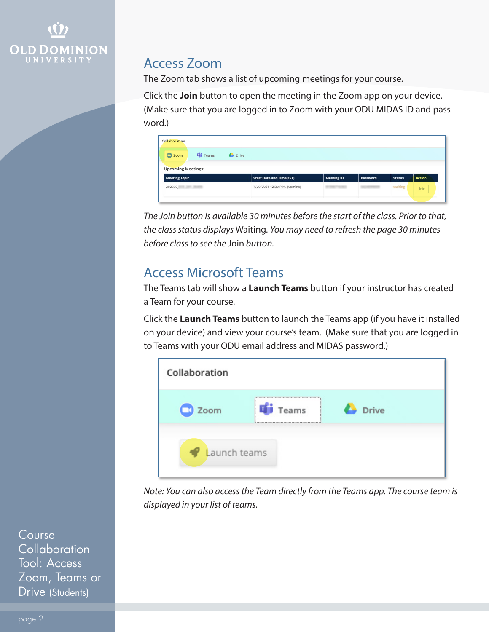

### Access Zoom

The Zoom tab shows a list of upcoming meetings for your course.

Click the **Join** button to open the meeting in the Zoom app on your device. (Make sure that you are logged in to Zoom with your ODU MIDAS ID and password.)

| <b>ED</b> Teams<br>C Zoom                         | <b>Drive</b>                    |                   |          |               |               |
|---------------------------------------------------|---------------------------------|-------------------|----------|---------------|---------------|
|                                                   |                                 |                   |          |               |               |
|                                                   |                                 |                   |          |               |               |
| <b>Upcoming Meetings:</b><br><b>Meeting Topic</b> | <b>Start Date and Time(EST)</b> | <b>Meeting ID</b> | Password | <b>Status</b> | <b>Action</b> |

*The Join button is available 30 minutes before the start of the class. Prior to that, the class status displays* Waiting*. You may need to refresh the page 30 minutes before class to see the* Join *button.*

# Access Microsoft Teams

The Teams tab will show a **Launch Teams** button if your instructor has created a Team for your course.

Click the **Launch Teams** button to launch the Teams app (if you have it installed on your device) and view your course's team. (Make sure that you are logged in to Teams with your ODU email address and MIDAS password.)

| Collaboration |       |              |
|---------------|-------|--------------|
| CO Zoom       | Teams | <b>Drive</b> |
| Launch teams  |       |              |

*Note: You can also access the Team directly from the Teams app. The course team is displayed in your list of teams.*

**Course Collaboration** Tool: Access Zoom, Teams or Drive (Students)